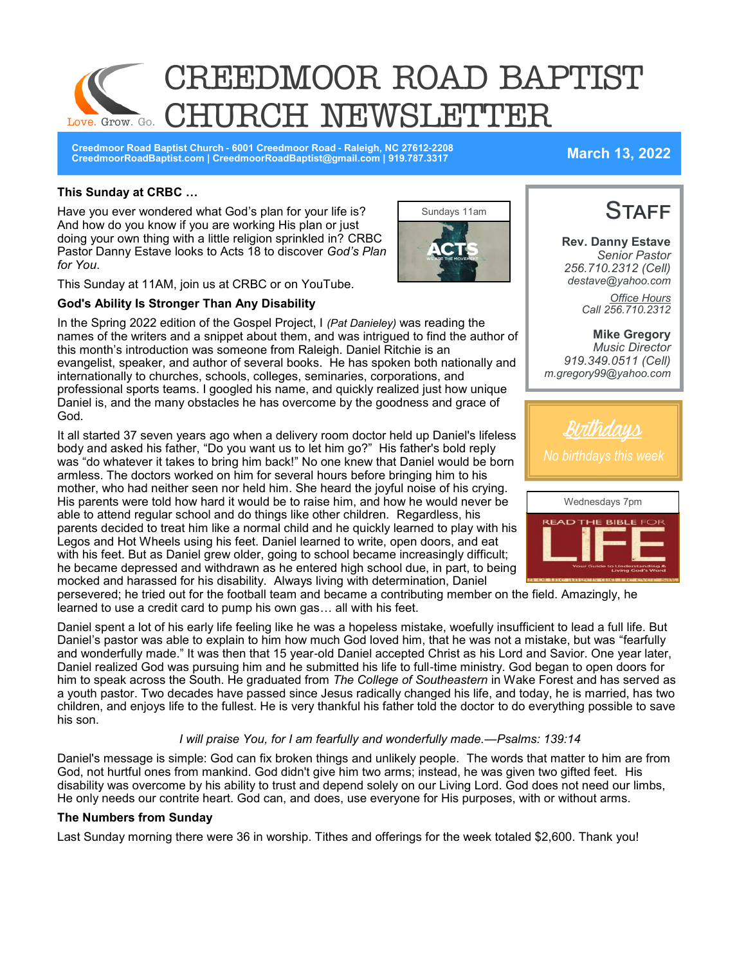

**Creedmoor Road Baptist Church - 6001 Creedmoor Road - Raleigh, NC 27612-2208 CreedmoorRoadBaptist.com | CreedmoorRoadBaptist@gmail.com | 919.787.3317 March 13, 2022**

**Rev. Danny Estave** *Senior Pastor 256.710.2312 (Cell)*

**STAFF** 

### **This Sunday at CRBC …**

Have you ever wondered what God's plan for your life is? And how do you know if you are working His plan or just doing your own thing with a little religion sprinkled in? CRBC Pastor Danny Estave looks to Acts 18 to discover *God's Plan for You*.



This Sunday at 11AM, join us at CRBC or on YouTube.

#### **God's Ability Is Stronger Than Any Disability**

In the Spring 2022 edition of the Gospel Project, I *(Pat Danieley)* was reading the names of the writers and a snippet about them, and was intrigued to find the author of this month's introduction was someone from Raleigh. Daniel Ritchie is an evangelist, speaker, and author of several books. He has spoken both nationally and internationally to churches, schools, colleges, seminaries, corporations, and professional sports teams. I googled his name, and quickly realized just how unique Daniel is, and the many obstacles he has overcome by the goodness and grace of God.

It all started 37 seven years ago when a delivery room doctor held up Daniel's lifeless body and asked his father, "Do you want us to let him go?" His father's bold reply was "do whatever it takes to bring him back!" No one knew that Daniel would be born armless. The doctors worked on him for several hours before bringing him to his mother, who had neither seen nor held him. She heard the joyful noise of his crying. His parents were told how hard it would be to raise him, and how he would never be able to attend regular school and do things like other children. Regardless, his parents decided to treat him like a normal child and he quickly learned to play with his Legos and Hot Wheels using his feet. Daniel learned to write, open doors, and eat with his feet. But as Daniel grew older, going to school became increasingly difficult; he became depressed and withdrawn as he entered high school due, in part, to being mocked and harassed for his disability. Always living with determination, Daniel

*destave@yahoo.com Office Hours Call 256.710.2312*  **Mike Gregory** *Music Director 919.349.0511 (Cell) m.gregory99@yahoo.com* 



persevered; he tried out for the football team and became a contributing member on the field. Amazingly, he learned to use a credit card to pump his own gas… all with his feet.

Daniel spent a lot of his early life feeling like he was a hopeless mistake, woefully insufficient to lead a full life. But Daniel's pastor was able to explain to him how much God loved him, that he was not a mistake, but was "fearfully and wonderfully made." It was then that 15 year-old Daniel accepted Christ as his Lord and Savior. One year later, Daniel realized God was pursuing him and he submitted his life to full-time ministry. God began to open doors for him to speak across the South. He graduated from *The College of Southeastern* in Wake Forest and has served as a youth pastor. Two decades have passed since Jesus radically changed his life, and today, he is married, has two children, and enjoys life to the fullest. He is very thankful his father told the doctor to do everything possible to save his son.

#### *I will praise You, for I am fearfully and wonderfully made.—Psalms: 139:14*

Daniel's message is simple: God can fix broken things and unlikely people. The words that matter to him are from God, not hurtful ones from mankind. God didn't give him two arms; instead, he was given two gifted feet. His disability was overcome by his ability to trust and depend solely on our Living Lord. God does not need our limbs, He only needs our contrite heart. God can, and does, use everyone for His purposes, with or without arms.

#### **The Numbers from Sunday**

Last Sunday morning there were 36 in worship. Tithes and offerings for the week totaled \$2,600. Thank you!